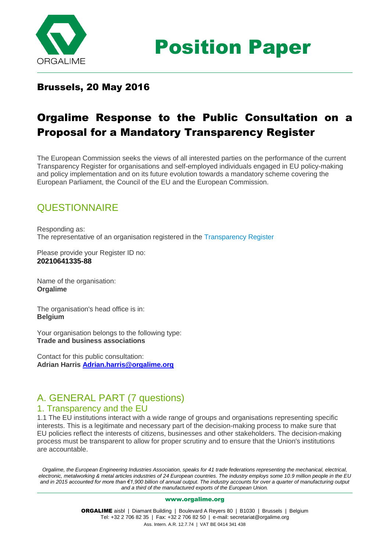

Position Paper

## Brussels, 20 May 2016

# Orgalime Response to the Public Consultation on a Proposal for a Mandatory Transparency Register

The European Commission seeks the views of all interested parties on the performance of the current Transparency Register for organisations and self-employed individuals engaged in EU policy-making and policy implementation and on its future evolution towards a mandatory scheme covering the European Parliament, the Council of the EU and the European Commission.

## **QUESTIONNAIRE**

Responding as: The representative of an organisation registered in the Transparency Register

Please provide your Register ID no: **20210641335-88**

Name of the organisation: **Orgalime**

The organisation's head office is in: **Belgium**

Your organisation belongs to the following type: **Trade and business associations**

Contact for this public consultation: **Adrian Harris [Adrian.harris@orgalime.org](mailto:Adrian.harris@orgalime.org)**

## A. GENERAL PART (7 questions)

### 1. Transparency and the EU

1.1 The EU institutions interact with a wide range of groups and organisations representing specific interests. This is a legitimate and necessary part of the decision-making process to make sure that EU policies reflect the interests of citizens, businesses and other stakeholders. The decision-making process must be transparent to allow for proper scrutiny and to ensure that the Union's institutions are accountable.

*Orgalime, the European Engineering Industries Association, speaks for 41 trade federations representing the mechanical, electrical, electronic, metalworking & metal articles industries of 24 European countries. The industry employs some 10.9 million people in the EU and in 2015 accounted for more than €1,900 billion of annual output. The industry accounts for over a quarter of manufacturing output and a third of the manufactured exports of the European Union.*

#### [www.orgalime.org](http://www.orgalime.org/)

ORGALIME aisbl | Diamant Building | Boulevard A Reyers 80 | B1030 | Brussels | Belgium Tel: +32 2 706 82 35 | Fax: +32 2 706 82 50 | e-mail[: secretariat@orgalime.org](mailto:secretariat@orgalime.org) Ass. Intern. A.R. 12.7.74 | VAT BE 0414 341 438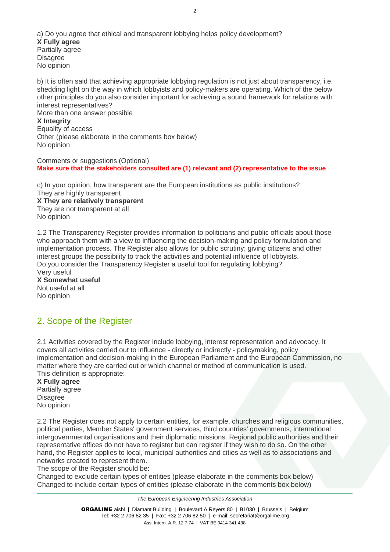a) Do you agree that ethical and transparent lobbying helps policy development? **X Fully agree** Partially agree **Disagree** No opinion

b) It is often said that achieving appropriate lobbying regulation is not just about transparency, i.e. shedding light on the way in which lobbyists and policy-makers are operating. Which of the below other principles do you also consider important for achieving a sound framework for relations with interest representatives? More than one answer possible **X Integrity** Equality of access Other (please elaborate in the comments box below) No opinion

Comments or suggestions (Optional)

**Make sure that the stakeholders consulted are (1) relevant and (2) representative to the issue**

c) In your opinion, how transparent are the European institutions as public institutions? They are highly transparent **X They are relatively transparent** They are not transparent at all No opinion

1.2 The Transparency Register provides information to politicians and public officials about those who approach them with a view to influencing the decision-making and policy formulation and implementation process. The Register also allows for public scrutiny; giving citizens and other interest groups the possibility to track the activities and potential influence of lobbyists. Do you consider the Transparency Register a useful tool for regulating lobbying? Very useful

**X Somewhat useful** Not useful at all No opinion

## 2. Scope of the Register

2.1 Activities covered by the Register include lobbying, interest representation and advocacy. It covers all activities carried out to influence - directly or indirectly - policymaking, policy implementation and decision-making in the European Parliament and the European Commission, no matter where they are carried out or which channel or method of communication is used. This definition is appropriate:

**X Fully agree** Partially agree **Disagree** No opinion

2.2 The Register does not apply to certain entities, for example, churches and religious communities, political parties, Member States' government services, third countries' governments, international intergovernmental organisations and their diplomatic missions. Regional public authorities and their representative offices do not have to register but can register if they wish to do so. On the other hand, the Register applies to local, municipal authorities and cities as well as to associations and networks created to represent them.

The scope of the Register should be:

Changed to exclude certain types of entities (please elaborate in the comments box below) Changed to include certain types of entities (please elaborate in the comments box below)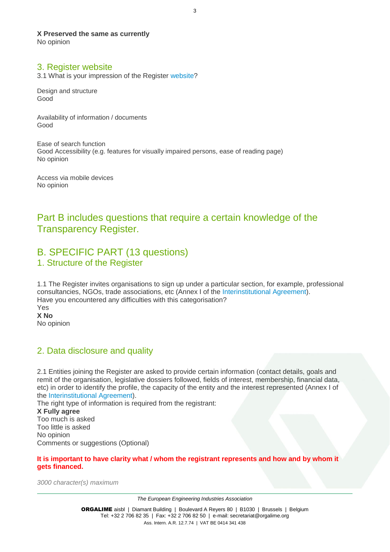**X Preserved the same as currently**

No opinion

### 3. Register website

3.1 What is your impression of the Register website?

Design and structure Good

Availability of information / documents Good

Ease of search function Good Accessibility (e.g. features for visually impaired persons, ease of reading page) No opinion

Access via mobile devices No opinion

## Part B includes questions that require a certain knowledge of the Transparency Register.

## B. SPECIFIC PART (13 questions) 1. Structure of the Register

1.1 The Register invites organisations to sign up under a particular section, for example, professional consultancies, NGOs, trade associations, etc (Annex I of the Interinstitutional Agreement). Have you encountered any difficulties with this categorisation? Yes **X No** No opinion

## 2. Data disclosure and quality

2.1 Entities joining the Register are asked to provide certain information (contact details, goals and remit of the organisation, legislative dossiers followed, fields of interest, membership, financial data, etc) in order to identify the profile, the capacity of the entity and the interest represented (Annex I of the Interinstitutional Agreement).

The right type of information is required from the registrant:

**X Fully agree** Too much is asked Too little is asked No opinion Comments or suggestions (Optional)

**It is important to have clarity what / whom the registrant represents and how and by whom it gets financed.** 

*3000 character(s) maximum*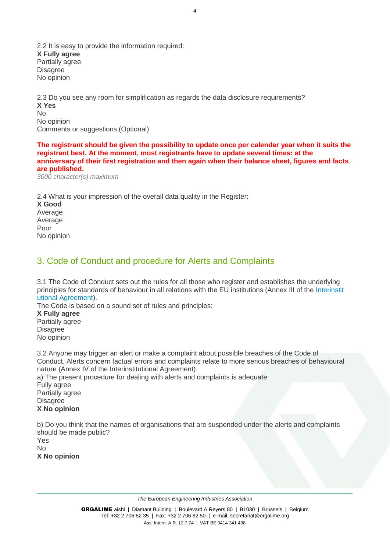2.2 It is easy to provide the information required: **X Fully agree** Partially agree **Disagree** No opinion

2.3 Do you see any room for simplification as regards the data disclosure requirements? **X Yes** No No opinion Comments or suggestions (Optional)

**The registrant should be given the possibility to update once per calendar year when it suits the registrant best. At the moment, most registrants have to update several times: at the anniversary of their first registration and then again when their balance sheet, figures and facts are published.**

*3000 character(s) maximum*

2.4 What is your impression of the overall data quality in the Register: **X Good** Average Average Poor No opinion

## 3. Code of Conduct and procedure for Alerts and Complaints

3.1 The Code of Conduct sets out the rules for all those who register and establishes the underlying principles for standards of behaviour in all relations with the EU institutions (Annex III of the Interinstit utional Agreement).

The Code is based on a sound set of rules and principles:

**X Fully agree** Partially agree Disagree No opinion

3.2 Anyone may trigger an alert or make a complaint about possible breaches of the Code of Conduct. Alerts concern factual errors and complaints relate to more serious breaches of behavioural nature (Annex IV of the Interinstitutional Agreement).

a) The present procedure for dealing with alerts and complaints is adequate: Fully agree Partially agree **Disagree X No opinion**

b) Do you think that the names of organisations that are suspended under the alerts and complaints should be made public? Yes No **X No opinion**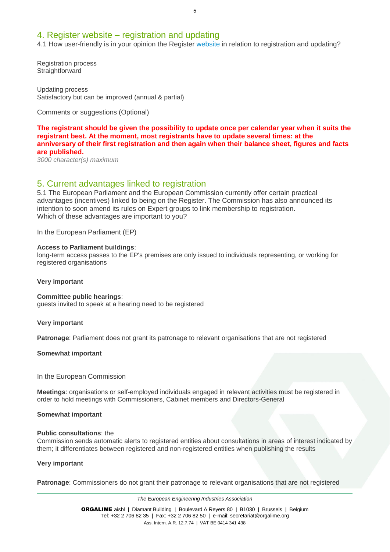### 4. Register website – registration and updating

4.1 How user-friendly is in your opinion the Register website in relation to registration and updating?

Registration process **Straightforward** 

Updating process Satisfactory but can be improved (annual & partial)

Comments or suggestions (Optional)

**The registrant should be given the possibility to update once per calendar year when it suits the registrant best. At the moment, most registrants have to update several times: at the anniversary of their first registration and then again when their balance sheet, figures and facts are published.**

*3000 character(s) maximum*

### 5. Current advantages linked to registration

5.1 The European Parliament and the European Commission currently offer certain practical advantages (incentives) linked to being on the Register. The Commission has also announced its intention to soon amend its rules on Expert groups to link membership to registration. Which of these advantages are important to you?

In the European Parliament (EP)

#### **Access to Parliament buildings**:

long-term access passes to the EP's premises are only issued to individuals representing, or working for registered organisations

#### **Very important**

#### **Committee public hearings**:

guests invited to speak at a hearing need to be registered

#### **Very important**

**Patronage**: Parliament does not grant its patronage to relevant organisations that are not registered

#### **Somewhat important**

In the European Commission

**Meetings**: organisations or self-employed individuals engaged in relevant activities must be registered in order to hold meetings with Commissioners, Cabinet members and Directors-General

#### **Somewhat important**

#### **Public consultations**: the

Commission sends automatic alerts to registered entities about consultations in areas of interest indicated by them; it differentiates between registered and non-registered entities when publishing the results

#### **Very important**

**Patronage**: Commissioners do not grant their patronage to relevant organisations that are not registered